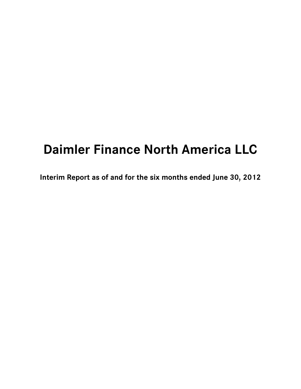# **Daimler Finance North America LLC**

**Interim Report as of and for the six months ended June 30, 2012**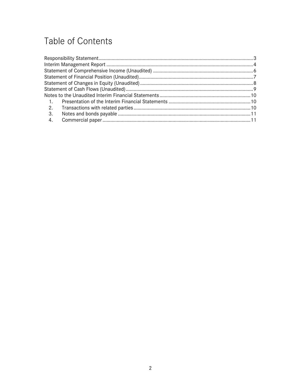# Table of Contents

| $\sim$ 1. |  |
|-----------|--|
| 2.        |  |
| 3.        |  |
| 4.        |  |
|           |  |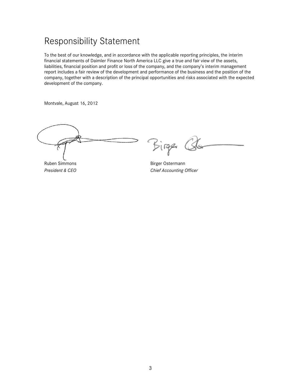### <span id="page-2-0"></span>Responsibility Statement

To the best of our knowledge, and in accordance with the applicable reporting principles, the interim financial statements of Daimler Finance North America LLC give a true and fair view of the assets, liabilities, financial position and profit or loss of the company, and the company's interim management report includes a fair review of the development and performance of the business and the position of the company, together with a description of the principal opportunities and risks associated with the expected development of the company.

Montvale, August 16, 2012

Birge (S

Ruben Simmons and Birger Ostermann *President & CEO Chief Accounting Officer*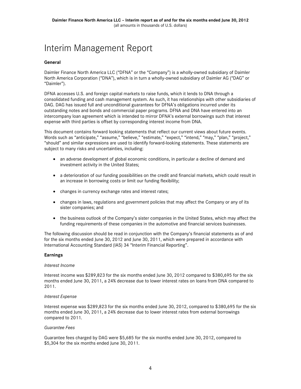### <span id="page-3-0"></span>Interim Management Report

#### **General**

Daimler Finance North America LLC ("DFNA" or the "Company") is a wholly-owned subsidiary of Daimler North America Corporation ("DNA"), which is in turn a wholly-owned subsidiary of Daimler AG ("DAG" or "Daimler").

DFNA accesses U.S. and foreign capital markets to raise funds, which it lends to DNA through a consolidated funding and cash management system. As such, it has relationships with other subsidiaries of DAG. DAG has issued full and unconditional guarantees for DFNA's obligations incurred under its outstanding notes and bonds and commercial paper programs. DFNA and DNA have entered into an intercompany loan agreement which is intended to mirror DFNA's external borrowings such that interest expense with third parties is offset by corresponding interest income from DNA.

This document contains forward looking statements that reflect our current views about future events. Words such as "anticipate," "assume," "believe," "estimate," "expect," "intend," "may," "plan," "project," "should" and similar expressions are used to identify forward-looking statements. These statements are subject to many risks and uncertainties, including:

- an adverse development of global economic conditions, in particular a decline of demand and investment activity in the United States;
- a deterioration of our funding possibilities on the credit and financial markets, which could result in an increase in borrowing costs or limit our funding flexibility;
- changes in currency exchange rates and interest rates;
- changes in laws, regulations and government policies that may affect the Company or any of its sister companies; and
- the business outlook of the Company's sister companies in the United States, which may affect the funding requirements of these companies in the automotive and financial services businesses.

The following discussion should be read in conjunction with the Company's financial statements as of and for the six months ended June 30, 2012 and June 30, 2011, which were prepared in accordance with International Accounting Standard (IAS) 34 "Interim Financial Reporting".

#### **Earnings**

#### *Interest Income*

Interest income was \$289,823 for the six months ended June 30, 2012 compared to \$380,695 for the six months ended June 30, 2011, a 24% decrease due to lower interest rates on loans from DNA compared to 2011.

#### *Interest Expense*

Interest expense was \$289,823 for the six months ended June 30, 2012, compared to \$380,695 for the six months ended June 30, 2011, a 24% decrease due to lower interest rates from external borrowings compared to 2011.

#### *Guarantee Fees*

Guarantee fees charged by DAG were \$5,685 for the six months ended June 30, 2012, compared to \$5,304 for the six months ended June 30, 2011.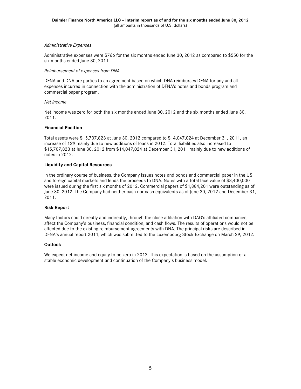#### *Administrative Expenses*

Administrative expenses were \$766 for the six months ended June 30, 2012 as compared to \$550 for the six months ended June 30, 2011.

#### *Reimbursement of expenses from DNA*

DFNA and DNA are parties to an agreement based on which DNA reimburses DFNA for any and all expenses incurred in connection with the administration of DFNA's notes and bonds program and commercial paper program.

#### *Net income*

Net income was zero for both the six months ended June 30, 2012 and the six months ended June 30, 2011.

#### **Financial Position**

Total assets were \$15,707,823 at June 30, 2012 compared to \$14,047,024 at December 31, 2011, an increase of 12% mainly due to new additions of loans in 2012. Total liabilities also increased to \$15,707,823 at June 30, 2012 from \$14,047,024 at December 31, 2011 mainly due to new additions of notes in 2012.

#### **Liquidity and Capital Resources**

In the ordinary course of business, the Company issues notes and bonds and commercial paper in the US and foreign capital markets and lends the proceeds to DNA. Notes with a total face value of \$3,400,000 were issued during the first six months of 2012. Commercial papers of \$1,884,201 were outstanding as of June 30, 2012. The Company had neither cash nor cash equivalents as of June 30, 2012 and December 31, 2011.

#### **Risk Report**

Many factors could directly and indirectly, through the close affiliation with DAG's affiliated companies, affect the Company's business, financial condition, and cash flows. The results of operations would not be affected due to the existing reimbursement agreements with DNA. The principal risks are described in DFNA's annual report 2011, which was submitted to the Luxembourg Stock Exchange on March 29, 2012.

#### **Outlook**

We expect net income and equity to be zero in 2012. This expectation is based on the assumption of a stable economic development and continuation of the Company's business model.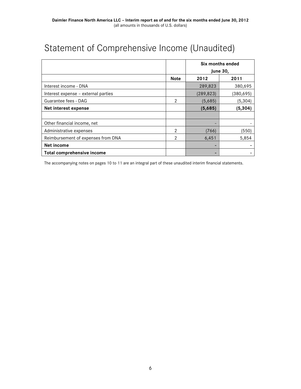## <span id="page-5-0"></span>Statement of Comprehensive Income (Unaudited)

|                                     |             | Six months ended<br><b>June 30,</b> |            |
|-------------------------------------|-------------|-------------------------------------|------------|
|                                     |             |                                     |            |
|                                     | <b>Note</b> | 2012                                | 2011       |
| Interest income - DNA               |             | 289,823                             | 380,695    |
| Interest expense - external parties |             | (289, 823)                          | (380, 695) |
| Guarantee fees - DAG                | 2           | (5,685)                             | (5, 304)   |
| Net interest expense                |             | (5,685)                             | (5, 304)   |
|                                     |             |                                     |            |
| Other financial income, net         |             |                                     |            |
| Administrative expenses             | 2           | (766)                               | (550)      |
| Reimbursement of expenses from DNA  | 2           | 6,451                               | 5,854      |
| Net income                          |             | -                                   |            |
| Total comprehensive income          |             |                                     |            |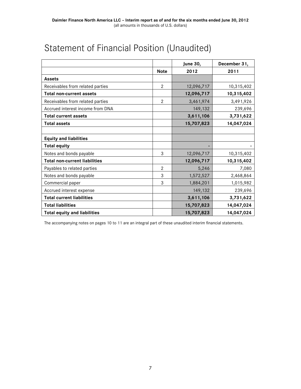|                                      |                | <b>June 30,</b> | December 31, |
|--------------------------------------|----------------|-----------------|--------------|
|                                      | <b>Note</b>    | 2012            | 2011         |
| <b>Assets</b>                        |                |                 |              |
| Receivables from related parties     | $\mathbf{2}$   | 12,096,717      | 10,315,402   |
| <b>Total non-current assets</b>      |                | 12,096,717      | 10,315,402   |
| Receivables from related parties     | $\overline{2}$ | 3,461,974       | 3,491,926    |
| Accrued interest income from DNA     |                | 149,132         | 239,696      |
| <b>Total current assets</b>          |                | 3,611,106       | 3,731,622    |
| <b>Total assets</b>                  |                | 15,707,823      | 14,047,024   |
|                                      |                |                 |              |
| <b>Equity and liabilities</b>        |                |                 |              |
| <b>Total equity</b>                  |                |                 |              |
| Notes and bonds payable              | 3              | 12,096,717      | 10,315,402   |
| <b>Total non-current liabilities</b> |                | 12,096,717      | 10,315,402   |
| Payables to related parties          | $\overline{2}$ | 5,246           | 7,080        |
| Notes and bonds payable              | 3              | 1,572,527       | 2,468,864    |
| Commercial paper                     | 3              | 1,884,201       | 1,015,982    |
| Accrued interest expense             |                | 149,132         | 239,696      |
| <b>Total current liabilities</b>     |                | 3,611,106       | 3,731,622    |
| <b>Total liabilities</b>             |                | 15,707,823      | 14,047,024   |
| <b>Total equity and liabilities</b>  |                | 15,707,823      | 14,047,024   |

## <span id="page-6-0"></span>Statement of Financial Position (Unaudited)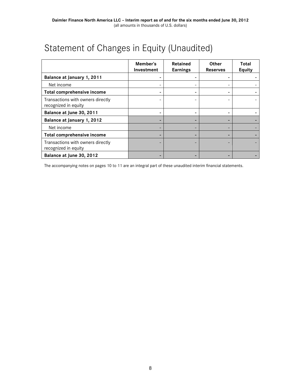## <span id="page-7-0"></span>Statement of Changes in Equity (Unaudited)

|                                                           | Member's<br>Investment | <b>Retained</b><br><b>Earnings</b> | <b>Other</b><br><b>Reserves</b> | Total<br><b>Equity</b> |
|-----------------------------------------------------------|------------------------|------------------------------------|---------------------------------|------------------------|
| Balance at January 1, 2011                                |                        |                                    |                                 |                        |
| Net income                                                |                        |                                    |                                 |                        |
| Total comprehensive income                                |                        |                                    | ۰                               |                        |
| Transactions with owners directly<br>recognized in equity |                        |                                    |                                 |                        |
| Balance at June 30, 2011                                  |                        |                                    |                                 |                        |
| Balance at January 1, 2012                                |                        |                                    |                                 |                        |
| Net income                                                |                        |                                    |                                 |                        |
| Total comprehensive income                                |                        |                                    |                                 |                        |
| Transactions with owners directly<br>recognized in equity |                        |                                    |                                 |                        |
| Balance at June 30, 2012                                  |                        |                                    |                                 |                        |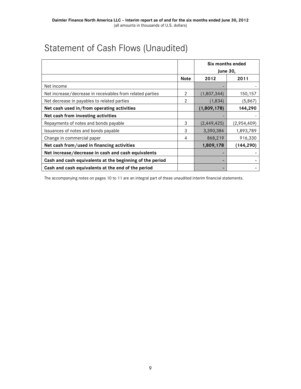## <span id="page-8-0"></span>Statement of Cash Flows (Unaudited)

|                                                           |             | Six months ended |             |
|-----------------------------------------------------------|-------------|------------------|-------------|
|                                                           |             | <b>June 30,</b>  |             |
|                                                           | <b>Note</b> | 2012             | 2011        |
| Net income                                                |             |                  |             |
| Net increase/decrease in receivables from related parties | 2           | (1,807,344)      | 150,157     |
| Net decrease in payables to related parties               | 2           | (1, 834)         | (5,867)     |
| Net cash used in/from operating activities                |             | (1,809,178)      | 144,290     |
| Net cash from investing activities                        |             |                  |             |
| Repayments of notes and bonds payable                     | 3           | (2,449,425)      | (2,954,409) |
| Issuances of notes and bonds payable                      | 3           | 3,390,384        | 1,893,789   |
| Change in commercial paper                                | 4           | 868,219          | 916,330     |
| Net cash from/used in financing activities                |             | 1,809,178        | (144, 290)  |
| Net increase/decrease in cash and cash equivalents        |             |                  |             |
| Cash and cash equivalents at the beginning of the period  |             |                  |             |
| Cash and cash equivalents at the end of the period        |             |                  |             |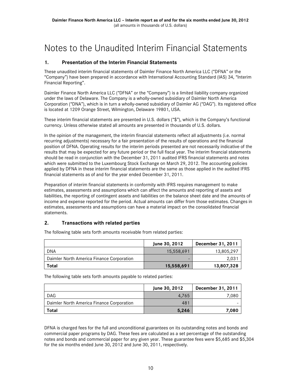### <span id="page-9-0"></span>Notes to the Unaudited Interim Financial Statements

#### <span id="page-9-1"></span>**1. Presentation of the Interim Financial Statements**

These unaudited interim financial statements of Daimler Finance North America LLC ("DFNA" or the "Company") have been prepared in accordance with International Accounting Standard (IAS) 34, "Interim Financial Reporting".

Daimler Finance North America LLC ("DFNA" or the "Company") is a limited liability company organized under the laws of Delaware. The Company is a wholly-owned subsidiary of Daimler North America Corporation ("DNA"), which is in turn a wholly-owned subsidiary of Daimler AG ("DAG"). Its registered office is located at 1209 Orange Street, Wilmington, Delaware 19801, USA.

These interim financial statements are presented in U.S. dollars ("\$"), which is the Company's functional currency. Unless otherwise stated all amounts are presented in thousands of U.S. dollars.

In the opinion of the management, the interim financial statements reflect all adjustments (i.e. normal recurring adjustments) necessary for a fair presentation of the results of operations and the financial position of DFNA. Operating results for the interim periods presented are not necessarily indicative of the results that may be expected for any future period or the full fiscal year. The interim financial statements should be read in conjunction with the December 31, 2011 audited IFRS financial statements and notes which were submitted to the Luxembourg Stock Exchange on March 29, 2012. The accounting policies applied by DFNA in these interim financial statements are the same as those applied in the audited IFRS financial statements as of and for the year ended December 31, 2011.

Preparation of interim financial statements in conformity with IFRS requires management to make estimates, assessments and assumptions which can affect the amounts and reporting of assets and liabilities, the reporting of contingent assets and liabilities on the balance sheet date and the amounts of income and expense reported for the period. Actual amounts can differ from those estimates. Changes in estimates, assessments and assumptions can have a material impact on the consolidated financial statements.

#### <span id="page-9-2"></span>**2. Transactions with related parties**

|                                           | June 30, 2012 | December 31, 2011 |
|-------------------------------------------|---------------|-------------------|
| <b>DNA</b>                                | 15,558,691    | 13,805,297        |
| Daimler North America Finance Corporation | -             | 2,031             |
| Total                                     | 15,558,691    | 13,807,328        |

The following table sets forth amounts receivable from related parties:

The following table sets forth amounts payable to related parties:

|                                           | June 30, 2012 | December 31, 2011 |
|-------------------------------------------|---------------|-------------------|
| <b>DAG</b>                                | 4.765         | 7,080             |
| Daimler North America Finance Corporation | 481           |                   |
| Total                                     | 5.246         | 7.080             |

DFNA is charged fees for the full and unconditional guarantees on its outstanding notes and bonds and commercial paper programs by DAG. These fees are calculated as a set percentage of the outstanding notes and bonds and commercial paper for any given year. These guarantee fees were \$5,685 and \$5,304 for the six months ended June 30, 2012 and June 30, 2011, respectively.